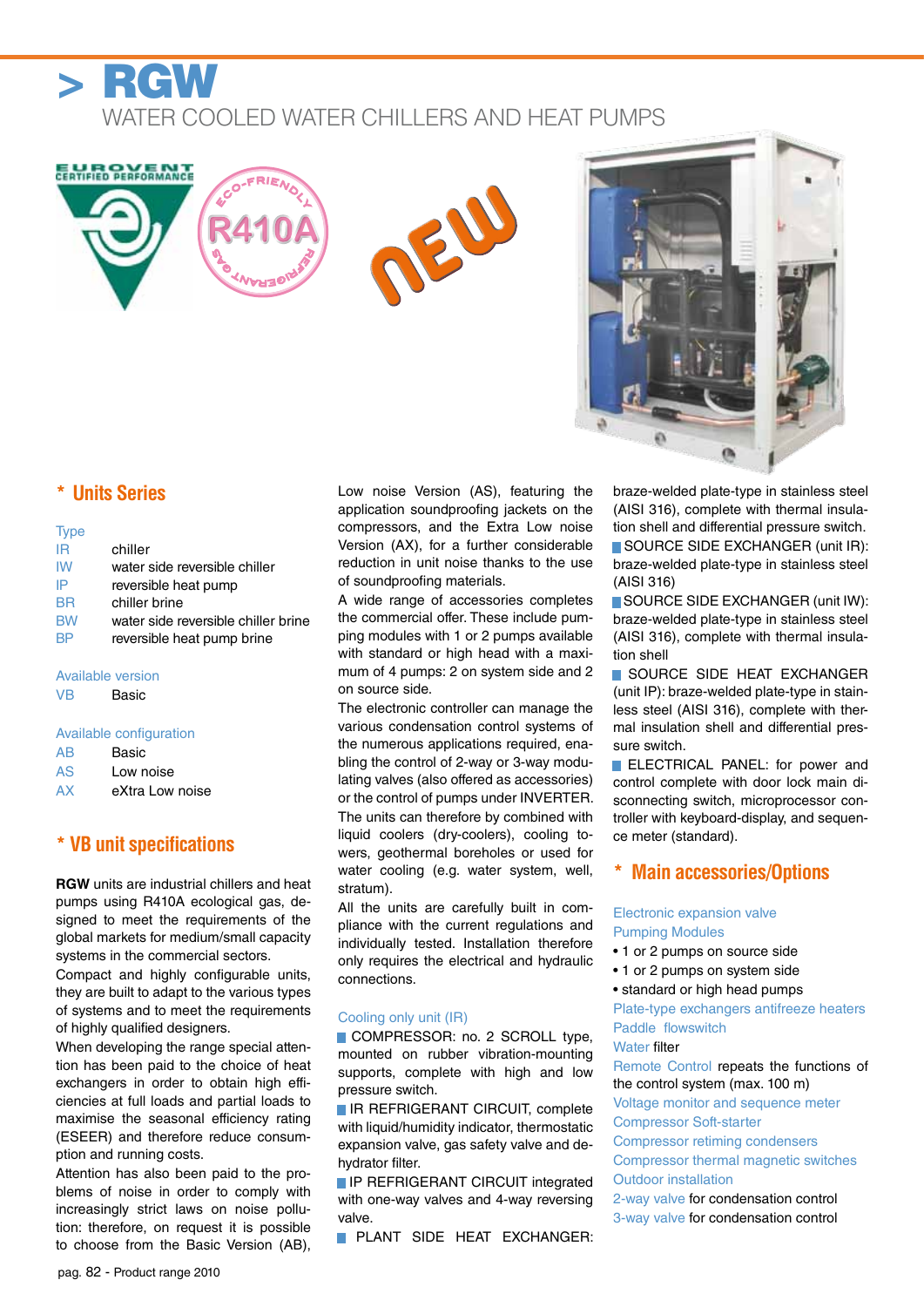

**ELIROVENT** 

# Water cooled water chillers and heat pumps

NEW

**OID** 

**TRANY** 

FRIEN<sub>O</sub>

o<br>Co

### **\* Units Series**

| <b>Type</b> |                                     |
|-------------|-------------------------------------|
| IR          | chiller                             |
| <b>IW</b>   | water side reversible chiller       |
| IP          | reversible heat pump                |
| BR          | chiller brine                       |
| <b>BW</b>   | water side reversible chiller brine |
| <b>BP</b>   | reversible heat pump brine          |
|             |                                     |
|             | Available version                   |

## VB Basic

#### Available configuration

- AS Low noise
- AX eXtra Low noise

### **\* VB unit specifications**

**RGW** units are industrial chillers and heat pumps using R410A ecological gas, designed to meet the requirements of the global markets for medium/small capacity systems in the commercial sectors.

Compact and highly configurable units, they are built to adapt to the various types of systems and to meet the requirements of highly qualified designers.

When developing the range special attention has been paid to the choice of heat exchangers in order to obtain high efficiencies at full loads and partial loads to maximise the seasonal efficiency rating (ESEER) and therefore reduce consumption and running costs.

Attention has also been paid to the problems of noise in order to comply with increasingly strict laws on noise pollution: therefore, on request it is possible to choose from the Basic Version (AB), Low noise Version (AS), featuring the application soundproofing jackets on the compressors, and the Extra Low noise Version (AX), for a further considerable reduction in unit noise thanks to the use of soundproofing materials.

A wide range of accessories completes the commercial offer. These include pumping modules with 1 or 2 pumps available with standard or high head with a maximum of 4 pumps: 2 on system side and 2 on source side.

The electronic controller can manage the various condensation control systems of the numerous applications required, enabling the control of 2-way or 3-way modulating valves (also offered as accessories) or the control of pumps under INVERTER. The units can therefore by combined with liquid coolers (dry-coolers), cooling towers, geothermal boreholes or used for water cooling (e.g. water system, well, stratum).

All the units are carefully built in compliance with the current regulations and individually tested. Installation therefore only requires the electrical and hydraulic connections.

#### Cooling only unit (IR)

■ COMPRESSOR: no. 2 SCROLL type, mounted on rubber vibration-mounting supports, complete with high and low pressure switch.

**E IR REFRIGERANT CIRCUIT, complete** with liquid/humidity indicator, thermostatic expansion valve, gas safety valve and dehydrator filter.

**IF REFRIGERANT CIRCUIT integrated** with one-way valves and 4-way reversing valve.

**PLANT SIDE HEAT EXCHANGER:** 

braze-welded plate-type in stainless steel (AISI 316), complete with thermal insulation shell and differential pressure switch. ■ SOURCE SIDE EXCHANGER (unit IR): braze-welded plate-type in stainless steel (AISI 316)

■ SOURCE SIDE EXCHANGER (unit IW): braze-welded plate-type in stainless steel (AISI 316), complete with thermal insulation shell

■ SOURCE SIDE HEAT EXCHANGER (unit IP): braze-welded plate-type in stainless steel (AISI 316), complete with thermal insulation shell and differential pressure switch.

**ELECTRICAL PANEL:** for power and control complete with door lock main disconnecting switch, microprocessor controller with keyboard-display, and sequence meter (standard).

#### **\* Main accessories/Options**

#### Electronic expansion valve Pumping Modules

- 1 or 2 pumps on source side
- 1 or 2 pumps on system side
- standard or high head pumps

Plate-type exchangers antifreeze heaters Paddle flowswitch

#### Water filter

Remote Control repeats the functions of the control system (max. 100 m) Voltage monitor and sequence meter

Compressor Soft-starter

Compressor retiming condensers

Compressor thermal magnetic switches Outdoor installation

2-way valve for condensation control

3-way valve for condensation control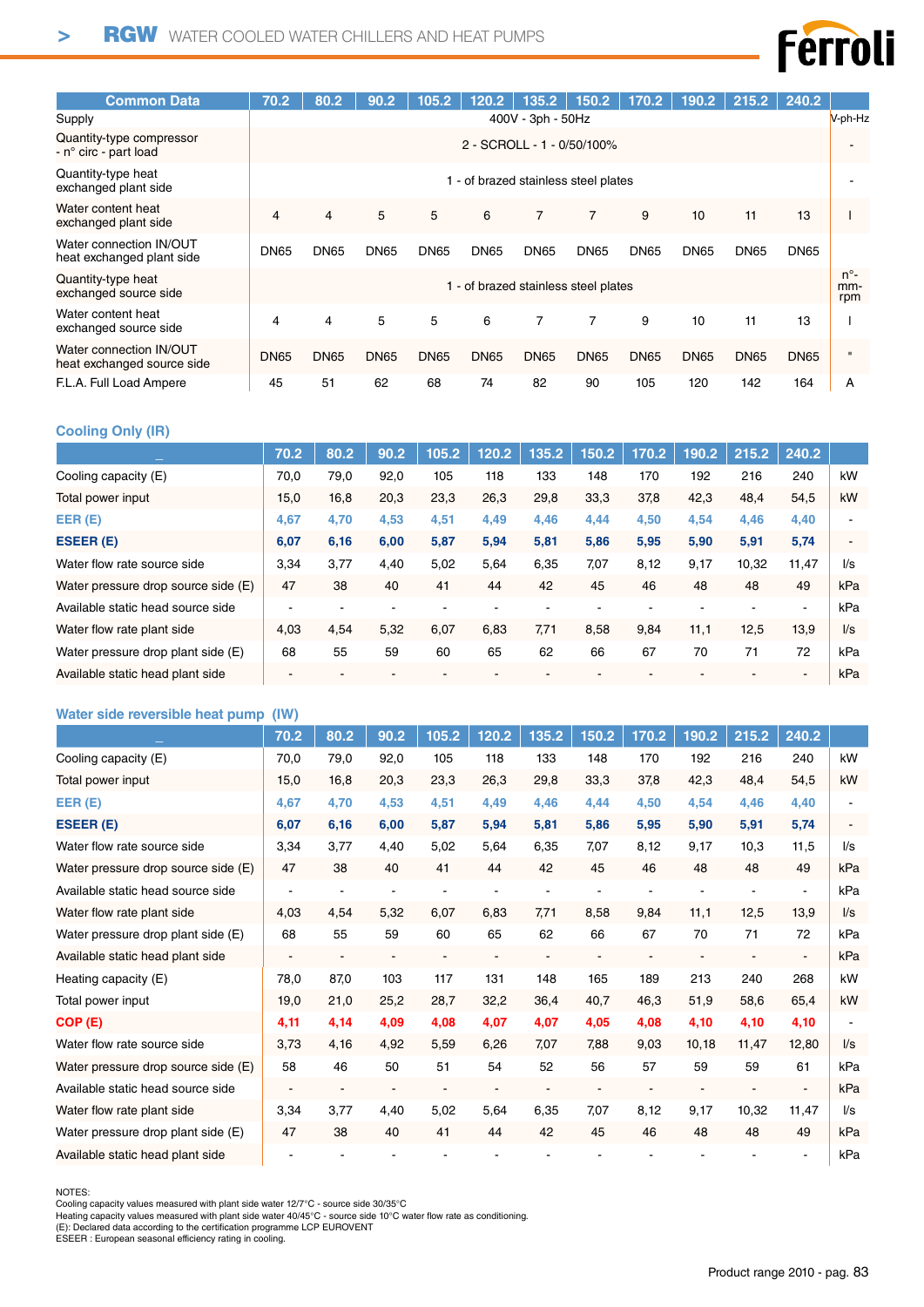

| <b>Common Data</b>                                    | 70.2        | 80.2                               | 90.2        | 105.2       | 120.2                              | 135.2             | 150.2          | 170.2       | 190.2       | 215.2       | 240.2       |                             |  |
|-------------------------------------------------------|-------------|------------------------------------|-------------|-------------|------------------------------------|-------------------|----------------|-------------|-------------|-------------|-------------|-----------------------------|--|
| Supply                                                |             |                                    |             |             |                                    | 400V - 3ph - 50Hz |                |             |             |             |             | V-ph-Hz                     |  |
| Quantity-type compressor<br>- n° circ - part load     |             | 2 - SCROLL - 1 - 0/50/100%         |             |             |                                    |                   |                |             |             |             |             |                             |  |
| Quantity-type heat<br>exchanged plant side            |             | - of brazed stainless steel plates |             |             |                                    |                   |                |             |             |             |             |                             |  |
| Water content heat<br>exchanged plant side            | 4           | 4                                  | 5           | 5           | 6                                  | $\overline{7}$    | $\overline{7}$ | 9           | 10          | 11          | 13          |                             |  |
| Water connection IN/OUT<br>heat exchanged plant side  | <b>DN65</b> | <b>DN65</b>                        | <b>DN65</b> | <b>DN65</b> | <b>DN65</b>                        | DN <sub>65</sub>  | <b>DN65</b>    | <b>DN65</b> | <b>DN65</b> | <b>DN65</b> | <b>DN65</b> |                             |  |
| Quantity-type heat<br>exchanged source side           |             |                                    |             |             | - of brazed stainless steel plates |                   |                |             |             |             |             | $n^{\circ}$ -<br>mm-<br>rpm |  |
| Water content heat<br>exchanged source side           | 4           | 4                                  | 5           | 5           | 6                                  | 7                 | 7              | 9           | 10          | 11          | 13          |                             |  |
| Water connection IN/OUT<br>heat exchanged source side | <b>DN65</b> | <b>DN65</b>                        | <b>DN65</b> | <b>DN65</b> | <b>DN65</b>                        | <b>DN65</b>       | <b>DN65</b>    | <b>DN65</b> | <b>DN65</b> | <b>DN65</b> | <b>DN65</b> | $\mathbf{u}$                |  |
| F.L.A. Full Load Ampere                               | 45          | 51                                 | 62          | 68          | 74                                 | 82                | 90             | 105         | 120         | 142         | 164         | А                           |  |

#### **Cooling Only (IR)**

|                                     | 70.2 | 80.2 | 90.2 | 105.2 | 120.2 | 135.2 | 150.2 | 170.2 | 190.2 | 215.2 | 240.2 |                          |
|-------------------------------------|------|------|------|-------|-------|-------|-------|-------|-------|-------|-------|--------------------------|
| Cooling capacity (E)                | 70,0 | 79,0 | 92,0 | 105   | 118   | 133   | 148   | 170   | 192   | 216   | 240   | kW                       |
| Total power input                   | 15,0 | 16,8 | 20,3 | 23,3  | 26,3  | 29,8  | 33,3  | 37,8  | 42,3  | 48,4  | 54,5  | kW                       |
| EER(E)                              | 4,67 | 4,70 | 4,53 | 4,51  | 4,49  | 4,46  | 4,44  | 4,50  | 4,54  | 4,46  | 4,40  |                          |
| <b>ESEER (E)</b>                    | 6,07 | 6,16 | 6,00 | 5,87  | 5,94  | 5,81  | 5,86  | 5,95  | 5,90  | 5,91  | 5,74  | $\blacksquare$           |
| Water flow rate source side         | 3,34 | 3.77 | 4,40 | 5,02  | 5,64  | 6,35  | 7,07  | 8,12  | 9,17  | 10,32 | 11,47 | $\mathsf{U}\mathsf{s}$   |
| Water pressure drop source side (E) | 47   | 38   | 40   | 41    | 44    | 42    | 45    | 46    | 48    | 48    | 49    | kPa                      |
| Available static head source side   |      |      |      |       |       |       |       |       |       |       | ۰     | kPa                      |
| Water flow rate plant side          | 4,03 | 4,54 | 5,32 | 6,07  | 6,83  | 7,71  | 8,58  | 9,84  | 11,1  | 12,5  | 13.9  | $\mathsf{II}/\mathsf{s}$ |
| Water pressure drop plant side (E)  | 68   | 55   | 59   | 60    | 65    | 62    | 66    | 67    | 70    | 71    | 72    | kPa                      |
| Available static head plant side    |      |      |      |       |       |       |       |       |       |       |       | kPa                      |

#### **Water side reversible heat pump (IW)**

|                                     | 70.2                     | 80.2           | 90.2                     | 105.2                    | 120.2                    | 135.2                    | 150.2                    | 170.2          | 190.2                    | 215.2                    | 240.2          |                        |
|-------------------------------------|--------------------------|----------------|--------------------------|--------------------------|--------------------------|--------------------------|--------------------------|----------------|--------------------------|--------------------------|----------------|------------------------|
| Cooling capacity (E)                | 70,0                     | 79,0           | 92,0                     | 105                      | 118                      | 133                      | 148                      | 170            | 192                      | 216                      | 240            | kW                     |
| Total power input                   | 15,0                     | 16,8           | 20,3                     | 23,3                     | 26,3                     | 29,8                     | 33,3                     | 37,8           | 42,3                     | 48,4                     | 54,5           | kW                     |
| EER(E)                              | 4,67                     | 4,70           | 4,53                     | 4,51                     | 4,49                     | 4,46                     | 4,44                     | 4,50           | 4,54                     | 4,46                     | 4,40           |                        |
| ESEER (E)                           | 6,07                     | 6,16           | 6,00                     | 5,87                     | 5,94                     | 5,81                     | 5,86                     | 5,95           | 5,90                     | 5,91                     | 5,74           |                        |
| Water flow rate source side         | 3,34                     | 3,77           | 4,40                     | 5,02                     | 5,64                     | 6,35                     | 7,07                     | 8,12           | 9,17                     | 10,3                     | 11,5           | l/s                    |
| Water pressure drop source side (E) | 47                       | 38             | 40                       | 41                       | 44                       | 42                       | 45                       | 46             | 48                       | 48                       | 49             | kPa                    |
| Available static head source side   |                          |                |                          |                          |                          |                          |                          |                |                          |                          | $\blacksquare$ | kPa                    |
| Water flow rate plant side          | 4,03                     | 4,54           | 5,32                     | 6,07                     | 6,83                     | 7,71                     | 8,58                     | 9,84           | 11,1                     | 12,5                     | 13.9           | $\mathsf{U}\mathsf{s}$ |
| Water pressure drop plant side (E)  | 68                       | 55             | 59                       | 60                       | 65                       | 62                       | 66                       | 67             | 70                       | 71                       | 72             | kPa                    |
| Available static head plant side    | $\blacksquare$           | $\blacksquare$ | $\blacksquare$           | $\blacksquare$           | $\blacksquare$           | $\blacksquare$           | $\blacksquare$           | $\blacksquare$ | $\blacksquare$           | $\overline{\phantom{a}}$ | $\sim$         | kPa                    |
| Heating capacity (E)                | 78,0                     | 87,0           | 103                      | 117                      | 131                      | 148                      | 165                      | 189            | 213                      | 240                      | 268            | kW                     |
| Total power input                   | 19,0                     | 21,0           | 25,2                     | 28,7                     | 32,2                     | 36,4                     | 40,7                     | 46,3           | 51,9                     | 58,6                     | 65,4           | kW                     |
| COP (E)                             | 4,11                     | 4,14           | 4,09                     | 4,08                     | 4,07                     | 4,07                     | 4,05                     | 4,08           | 4,10                     | 4,10                     | 4,10           |                        |
| Water flow rate source side         | 3,73                     | 4,16           | 4.92                     | 5,59                     | 6,26                     | 7.07                     | 7,88                     | 9,03           | 10,18                    | 11,47                    | 12,80          | $\mathsf{U}\mathsf{s}$ |
| Water pressure drop source side (E) | 58                       | 46             | 50                       | 51                       | 54                       | 52                       | 56                       | 57             | 59                       | 59                       | 61             | kPa                    |
| Available static head source side   | $\overline{\phantom{a}}$ | $\blacksquare$ | $\overline{\phantom{a}}$ | $\overline{\phantom{a}}$ | $\overline{\phantom{a}}$ | $\overline{\phantom{a}}$ | $\overline{\phantom{a}}$ |                | $\overline{\phantom{a}}$ |                          | $\blacksquare$ | kPa                    |
| Water flow rate plant side          | 3,34                     | 3,77           | 4,40                     | 5,02                     | 5,64                     | 6,35                     | 7,07                     | 8,12           | 9,17                     | 10,32                    | 11,47          | l/s                    |
| Water pressure drop plant side (E)  | 47                       | 38             | 40                       | 41                       | 44                       | 42                       | 45                       | 46             | 48                       | 48                       | 49             | kPa                    |
| Available static head plant side    |                          |                |                          |                          |                          |                          |                          |                |                          |                          |                | kPa                    |

NOTES:<br>Cooling capacity values measured with plant side water 12/7°C - source side 30/35°C<br>Heating capacity values measured with plant side water 40/45°C - source side 10°C water flow rate as conditioning.<br>(E): Declared da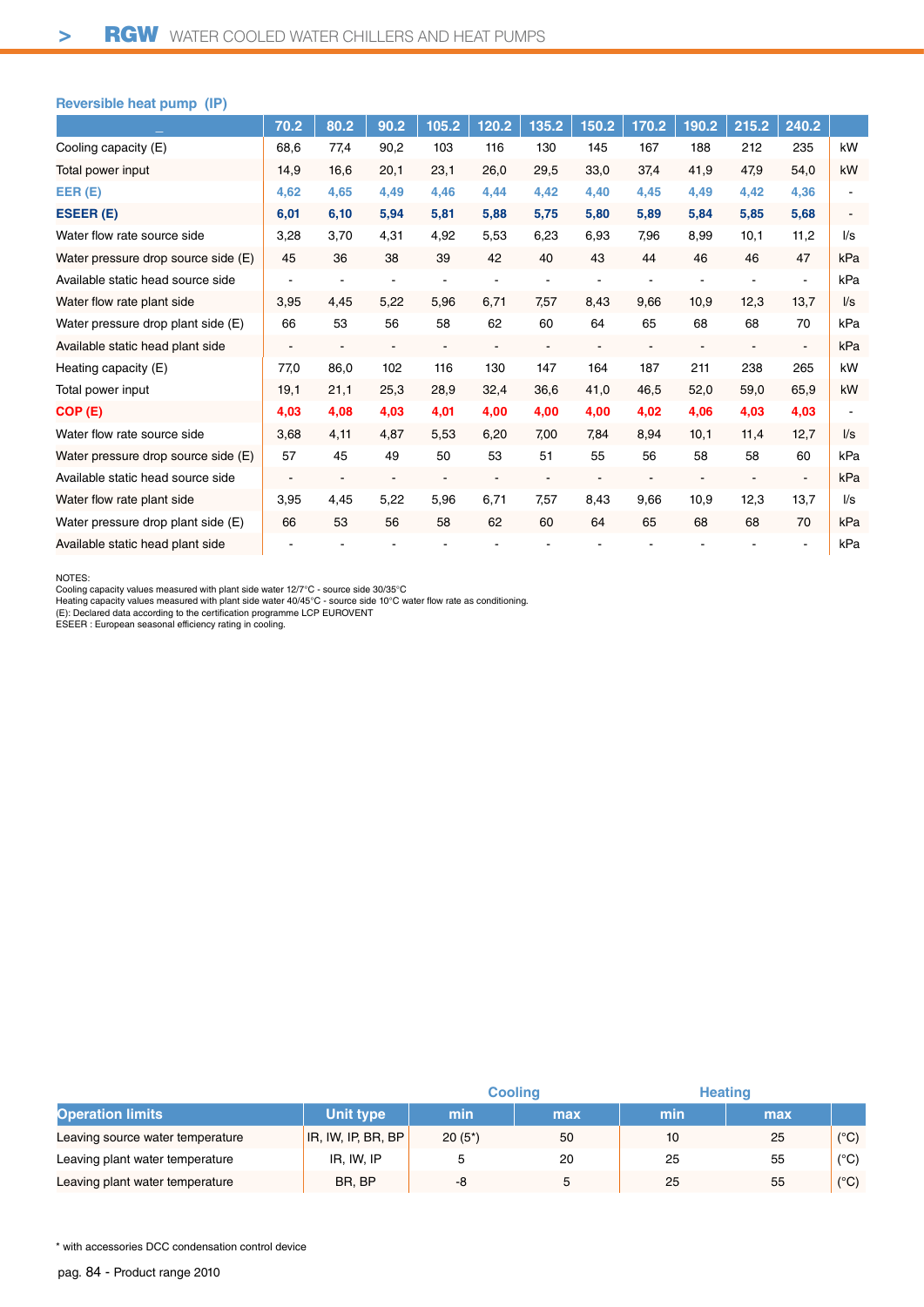#### **Reversible heat pump (IP)**

|                                     | 70.2 | 80.2                     | 90.2           | 105.2 | 120.2                    | 135.2                    | 150.2          | 170.2                    | 190.2                    | 215.2          | 240.2                    |                         |
|-------------------------------------|------|--------------------------|----------------|-------|--------------------------|--------------------------|----------------|--------------------------|--------------------------|----------------|--------------------------|-------------------------|
| Cooling capacity (E)                | 68,6 | 77,4                     | 90,2           | 103   | 116                      | 130                      | 145            | 167                      | 188                      | 212            | 235                      | kW                      |
| Total power input                   | 14,9 | 16,6                     | 20,1           | 23,1  | 26,0                     | 29,5                     | 33,0           | 37,4                     | 41,9                     | 47,9           | 54,0                     | kW                      |
| EER(E)                              | 4,62 | 4,65                     | 4,49           | 4,46  | 4,44                     | 4,42                     | 4,40           | 4,45                     | 4,49                     | 4,42           | 4,36                     |                         |
| ESEER (E)                           | 6,01 | 6,10                     | 5,94           | 5,81  | 5,88                     | 5,75                     | 5,80           | 5,89                     | 5,84                     | 5,85           | 5,68                     |                         |
| Water flow rate source side         | 3,28 | 3,70                     | 4,31           | 4,92  | 5,53                     | 6,23                     | 6,93           | 7,96                     | 8,99                     | 10,1           | 11,2                     | $\mathsf{U}\mathsf{s}$  |
| Water pressure drop source side (E) | 45   | 36                       | 38             | 39    | 42                       | 40                       | 43             | 44                       | 46                       | 46             | 47                       | kPa                     |
| Available static head source side   |      |                          |                |       |                          |                          |                |                          |                          |                |                          | kPa                     |
| Water flow rate plant side          | 3,95 | 4,45                     | 5,22           | 5,96  | 6,71                     | 7,57                     | 8,43           | 9,66                     | 10,9                     | 12,3           | 13,7                     | $\mathsf{l}/\mathsf{s}$ |
| Water pressure drop plant side (E)  | 66   | 53                       | 56             | 58    | 62                       | 60                       | 64             | 65                       | 68                       | 68             | 70                       | kPa                     |
| Available static head plant side    |      | ۰                        | $\blacksquare$ | ۰     | $\overline{\phantom{a}}$ | $\blacksquare$           | $\blacksquare$ | $\frac{1}{2}$            | $\blacksquare$           | $\blacksquare$ | $\overline{\phantom{a}}$ | kPa                     |
| Heating capacity (E)                | 77,0 | 86,0                     | 102            | 116   | 130                      | 147                      | 164            | 187                      | 211                      | 238            | 265                      | kW                      |
| Total power input                   | 19,1 | 21,1                     | 25,3           | 28,9  | 32,4                     | 36,6                     | 41,0           | 46,5                     | 52,0                     | 59,0           | 65,9                     | kW                      |
| COP (E)                             | 4,03 | 4,08                     | 4,03           | 4,01  | 4,00                     | 4.00                     | 4,00           | 4.02                     | 4.06                     | 4,03           | 4,03                     |                         |
| Water flow rate source side         | 3,68 | 4,11                     | 4,87           | 5,53  | 6,20                     | 7,00                     | 7.84           | 8,94                     | 10,1                     | 11,4           | 12,7                     | $\mathsf{U}\mathsf{s}$  |
| Water pressure drop source side (E) | 57   | 45                       | 49             | 50    | 53                       | 51                       | 55             | 56                       | 58                       | 58             | 60                       | kPa                     |
| Available static head source side   |      | $\overline{\phantom{a}}$ | $\blacksquare$ |       | $\blacksquare$           | $\overline{\phantom{a}}$ | $\blacksquare$ | $\overline{\phantom{a}}$ | $\overline{\phantom{a}}$ | $\blacksquare$ | $\blacksquare$           | kPa                     |
| Water flow rate plant side          | 3,95 | 4,45                     | 5,22           | 5,96  | 6,71                     | 7,57                     | 8,43           | 9,66                     | 10,9                     | 12,3           | 13.7                     | $\mathsf{U}\mathsf{s}$  |
| Water pressure drop plant side (E)  | 66   | 53                       | 56             | 58    | 62                       | 60                       | 64             | 65                       | 68                       | 68             | 70                       | kPa                     |
| Available static head plant side    |      |                          |                |       |                          |                          |                |                          |                          |                |                          | kPa                     |

NOTES:<br>Cooling capacity values measured with plant side water 12/7°C - source side 30/35°C<br>Heating capacity values measured with plant side water 40/45°C - source side 10°C water flow rate as conditioning.<br>(E): Declared da

|                                  |                    |           | <b>Cooling</b> | <b>Heating</b> |     |               |
|----------------------------------|--------------------|-----------|----------------|----------------|-----|---------------|
| <b>Operation limits</b>          | Unit type          | min       | max            | min            | max |               |
| Leaving source water temperature | IR, IW, IP, BR, BP | $20(5^*)$ | 50             | 10             | 25  | $(^{\circ}C)$ |
| Leaving plant water temperature  | IR, IW, IP         |           | 20             | 25             | 55  | $(^{\circ}C)$ |
| Leaving plant water temperature  | BR, BP             | -8        |                | 25             | 55  | $(^{\circ}C)$ |

\* with accessories DCC condensation control device